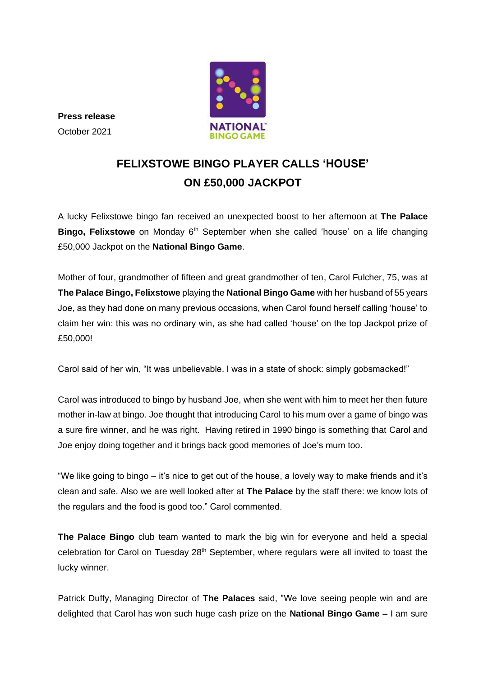

**Press release** October 2021

# **FELIXSTOWE BINGO PLAYER CALLS 'HOUSE' ON £50,000 JACKPOT**

A lucky Felixstowe bingo fan received an unexpected boost to her afternoon at **The Palace Bingo, Felixstowe** on Monday 6<sup>th</sup> September when she called 'house' on a life changing £50,000 Jackpot on the **National Bingo Game**.

Mother of four, grandmother of fifteen and great grandmother of ten, Carol Fulcher, 75, was at **The Palace Bingo, Felixstowe** playing the **National Bingo Game** with her husband of 55 years Joe, as they had done on many previous occasions, when Carol found herself calling 'house' to claim her win: this was no ordinary win, as she had called 'house' on the top Jackpot prize of £50,000!

Carol said of her win, "It was unbelievable. I was in a state of shock: simply gobsmacked!"

Carol was introduced to bingo by husband Joe, when she went with him to meet her then future mother in-law at bingo. Joe thought that introducing Carol to his mum over a game of bingo was a sure fire winner, and he was right. Having retired in 1990 bingo is something that Carol and Joe enjoy doing together and it brings back good memories of Joe's mum too.

"We like going to bingo – it's nice to get out of the house, a lovely way to make friends and it's clean and safe. Also we are well looked after at **The Palace** by the staff there: we know lots of the regulars and the food is good too." Carol commented.

**The Palace Bingo** club team wanted to mark the big win for everyone and held a special celebration for Carol on Tuesday 28<sup>th</sup> September, where regulars were all invited to toast the lucky winner.

Patrick Duffy, Managing Director of **The Palaces** said, "We love seeing people win and are delighted that Carol has won such huge cash prize on the **National Bingo Game –** I am sure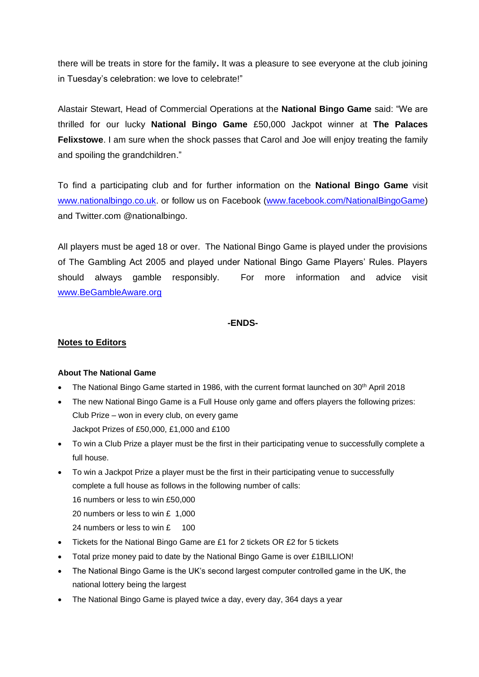there will be treats in store for the family**.** It was a pleasure to see everyone at the club joining in Tuesday's celebration: we love to celebrate!"

Alastair Stewart, Head of Commercial Operations at the **National Bingo Game** said: "We are thrilled for our lucky **National Bingo Game** £50,000 Jackpot winner at **The Palaces Felixstowe**. I am sure when the shock passes that Carol and Joe will enjoy treating the family and spoiling the grandchildren."

To find a participating club and for further information on the **National Bingo Game** visit [www.nationalbingo.co.uk.](http://www.nationalbingo.co.uk/) or follow us on Facebook [\(www.facebook.com/NationalBingoGame\)](http://www.facebook.com/NationalBingoGame) and Twitter.com @nationalbingo.

All players must be aged 18 or over. The National Bingo Game is played under the provisions of The Gambling Act 2005 and played under National Bingo Game Players' Rules. Players should always gamble responsibly. For more information and advice visit [www.BeGambleAware.org](http://www.begambleaware.org/)

### **-ENDS-**

## **Notes to Editors**

### **About The National Game**

- The National Bingo Game started in 1986, with the current format launched on  $30<sup>th</sup>$  April 2018
- The new National Bingo Game is a Full House only game and offers players the following prizes: Club Prize – won in every club, on every game Jackpot Prizes of £50,000, £1,000 and £100
- To win a Club Prize a player must be the first in their participating venue to successfully complete a full house.
- To win a Jackpot Prize a player must be the first in their participating venue to successfully complete a full house as follows in the following number of calls: 16 numbers or less to win £50,000
	- 20 numbers or less to win £ 1,000
	- 24 numbers or less to win £ 100
- Tickets for the National Bingo Game are £1 for 2 tickets OR £2 for 5 tickets
- Total prize money paid to date by the National Bingo Game is over £1BILLION!
- The National Bingo Game is the UK's second largest computer controlled game in the UK, the national lottery being the largest
- The National Bingo Game is played twice a day, every day, 364 days a year